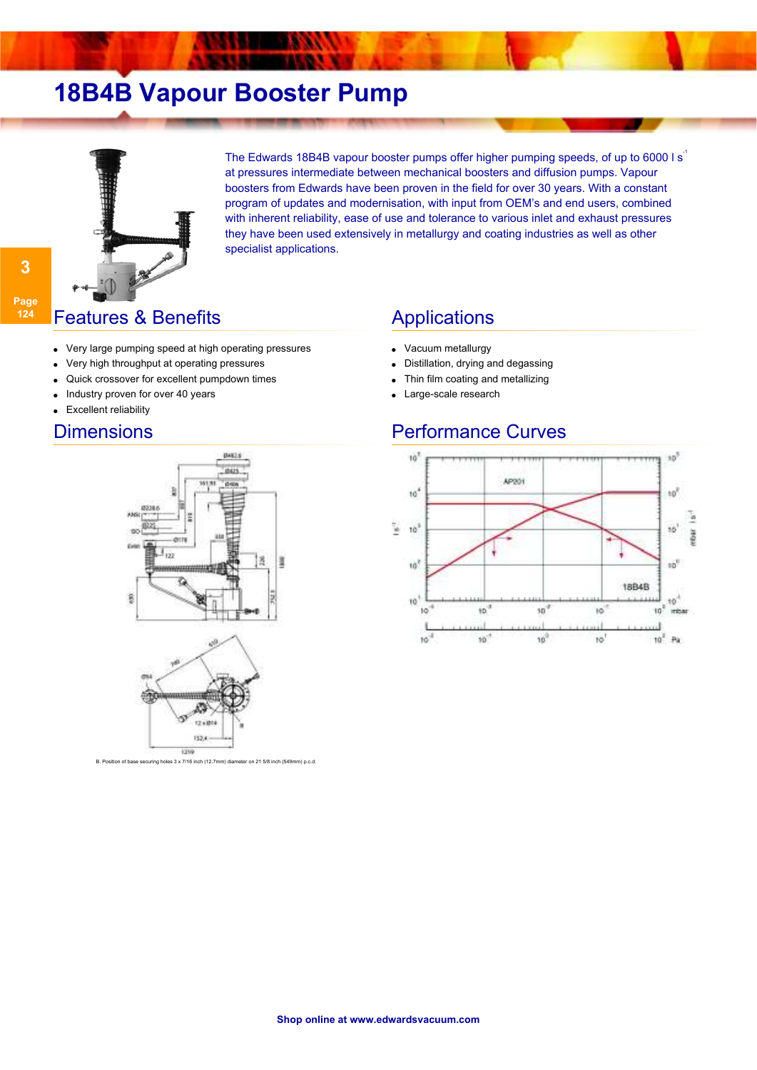# **18B4B Vapour Booster Pump**



The Edwards 18B4B vapour booster pumps offer higher pumping speeds, of up to 6000 l s<sup>1</sup> at pressures intermediate between mechanical boosters and diffusion pumps. Vapour boosters from Edwards have been proven in the field for over 30 years. With a constant program of updates and modernisation, with input from OEM's and end users, combined with inherent reliability, ease of use and tolerance to various inlet and exhaust pressures they have been used extensively in metallurgy and coating industries as well as other specialist applications.

### **Features & Benefits** Applications

- Very large pumping speed at high operating pressures
- Very high throughput at operating pressures
- Quick crossover for excellent pumpdown times
- Industry proven for over 40 years
- Excellent reliability

**3**

**Page 124**



sition of base securing holes 3 x 7/16 inch (12.7mm) diameter on 21 5/8 inch (549mm) p.c.d.

- Vacuum metallurgy
- Distillation, drying and degassing
- Thin film coating and metallizing
- Large-scale research

### Dimensions **Performance Curves**

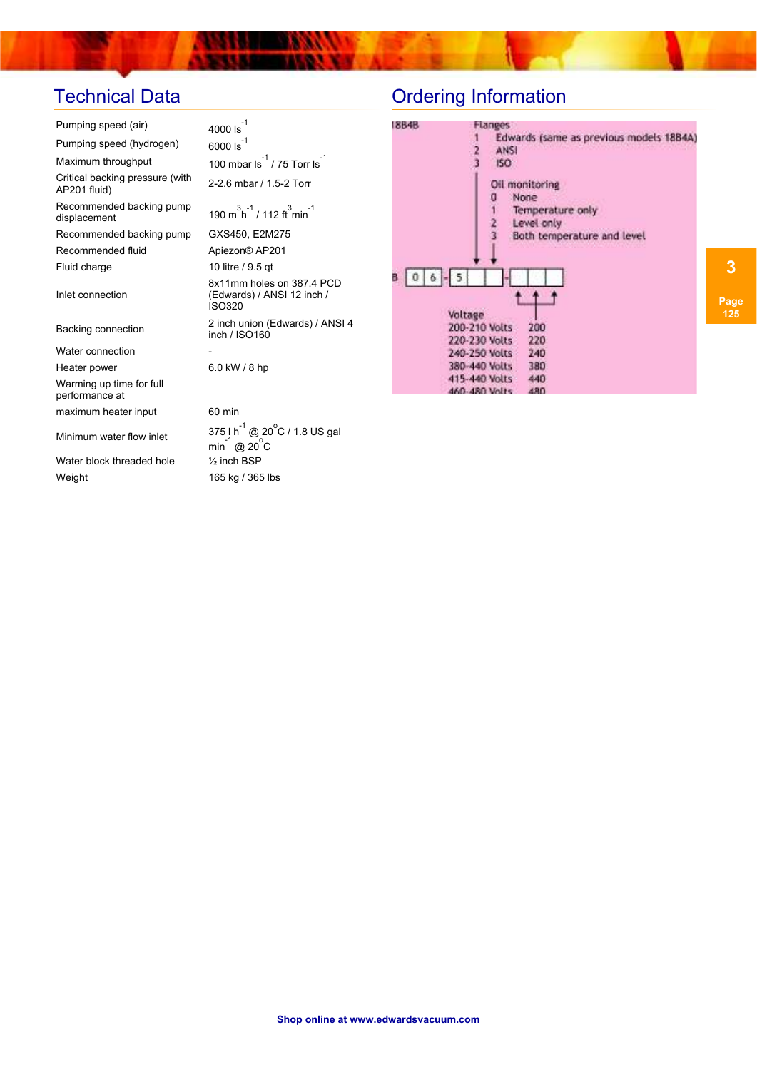×

| Pumping speed (air)                             | $4000 \text{ ls}^{-1}$                                                      | 18B4B                                     | Flanges              |
|-------------------------------------------------|-----------------------------------------------------------------------------|-------------------------------------------|----------------------|
| Pumping speed (hydrogen)                        | 6000 $Is^{-1}$                                                              |                                           | Edwar<br><b>ANSI</b> |
| Maximum throughput                              | 100 mbar $\frac{-1}{15}$ / 75 Torr Is                                       |                                           | ISO:                 |
| Critical backing pressure (with<br>AP201 fluid) | 2-2.6 mbar / 1.5-2 Torr                                                     |                                           | Oil mon<br>No        |
| Recommended backing pump<br>displacement        | 190 m <sup>3</sup> h <sup>-1</sup> / 112 ft <sup>3</sup> min <sup>-1</sup>  |                                           | Ter<br>Le            |
| Recommended backing pump                        | GXS450, E2M275                                                              |                                           | <b>Bol</b>           |
| Recommended fluid                               | Apiezon® AP201                                                              |                                           |                      |
| Fluid charge                                    | 10 litre / 9.5 qt                                                           |                                           |                      |
| Inlet connection                                | 8x11mm holes on 387.4 PCD<br>(Edwards) / ANSI 12 inch /<br><b>ISO320</b>    |                                           |                      |
| Backing connection                              | 2 inch union (Edwards) / ANSI 4<br>inch / ISO160                            | Voltage<br>200-210 Volts<br>220-230 Volts |                      |
| Water connection                                |                                                                             | 240-250 Volts                             |                      |
| Heater power                                    | 6.0 kW / 8 hp                                                               | 380-440 Volts                             |                      |
| Warming up time for full<br>performance at      |                                                                             | 415-440 Volts<br>460-480 Volts            |                      |
| maximum heater input                            | 60 min                                                                      |                                           |                      |
| Minimum water flow inlet                        | 375 I $h^{-1}$ @ 20 $^{\circ}$ C / 1.8 US gal<br>-1<br>min @ $20^{\circ}$ C |                                           |                      |
| Water block threaded hole                       | $\frac{1}{2}$ inch BSP                                                      |                                           |                      |
| Weight                                          | 165 kg / 365 lbs                                                            |                                           |                      |
|                                                 |                                                                             |                                           |                      |

# Technical Data **Ordering Information**

| 18B4B  | Flanges                                     |
|--------|---------------------------------------------|
|        | Edwards (same as previous models 1884A)     |
|        | $\frac{2}{3}$<br><b>ANSI</b>                |
|        | ISO:                                        |
|        | Oil monitoring                              |
|        | None<br>a                                   |
|        | Temperature only                            |
|        | Level only                                  |
|        | $\frac{2}{3}$<br>Both temperature and level |
|        |                                             |
|        |                                             |
| 0<br>6 |                                             |
|        |                                             |
|        |                                             |
|        | Voltage                                     |
|        | 200-210 Volts<br>200                        |
|        | 220<br>220-230 Volts                        |
|        | 240-250 Volts<br>240                        |
|        | 380-440 Volts<br>380                        |
|        | 415-440 Volts<br>440                        |
|        | 400<br>ARIO ARIO MALLA                      |

**3 Page**

**125**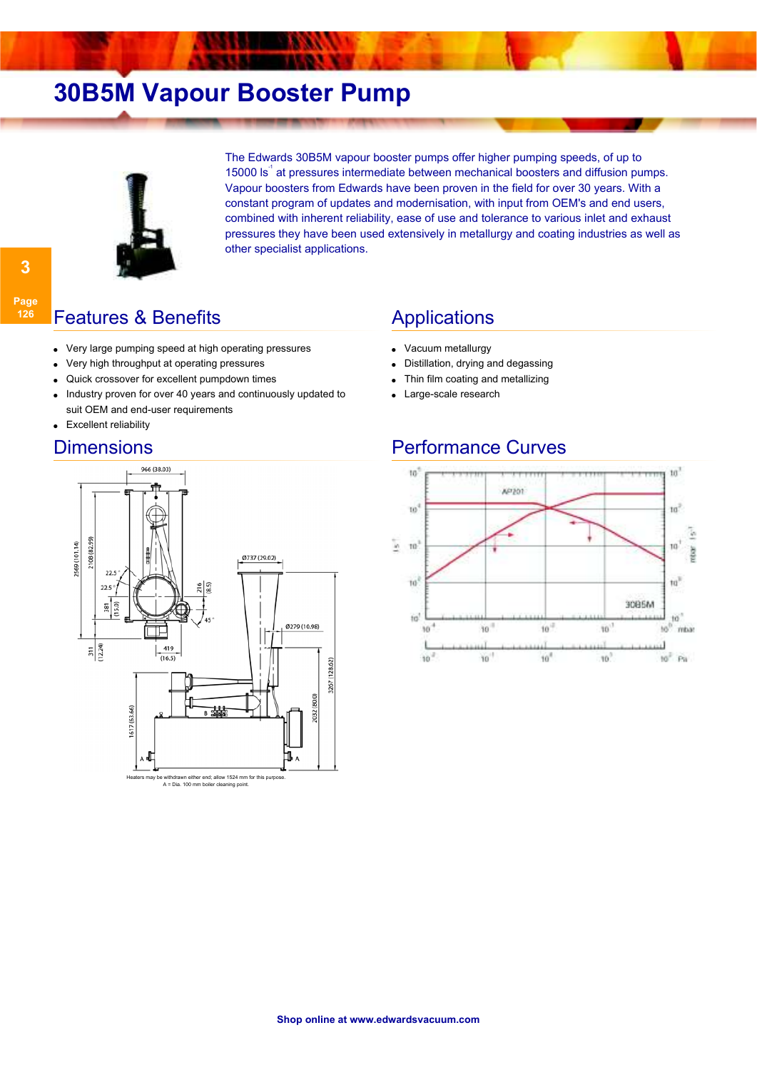# **30B5M Vapour Booster Pump**



The Edwards 30B5M vapour booster pumps offer higher pumping speeds, of up to 15000 ls<sup>-1</sup> at pressures intermediate between mechanical boosters and diffusion pumps. Vapour boosters from Edwards have been proven in the field for over 30 years. With a constant program of updates and modernisation, with input from OEM's and end users, combined with inherent reliability, ease of use and tolerance to various inlet and exhaust pressures they have been used extensively in metallurgy and coating industries as well as other specialist applications.

### **Features & Benefits Applications**

- Very large pumping speed at high operating pressures
- Very high throughput at operating pressures
- Quick crossover for excellent pumpdown times
- Industry proven for over 40 years and continuously updated to suit OEM and end-user requirements ●
- Excellent reliability

**3**

**Page 126**



- Vacuum metallurgy
- Distillation, drying and degassing
- Thin film coating and metallizing
	- Large-scale research

### Dimensions **Performance Curves**